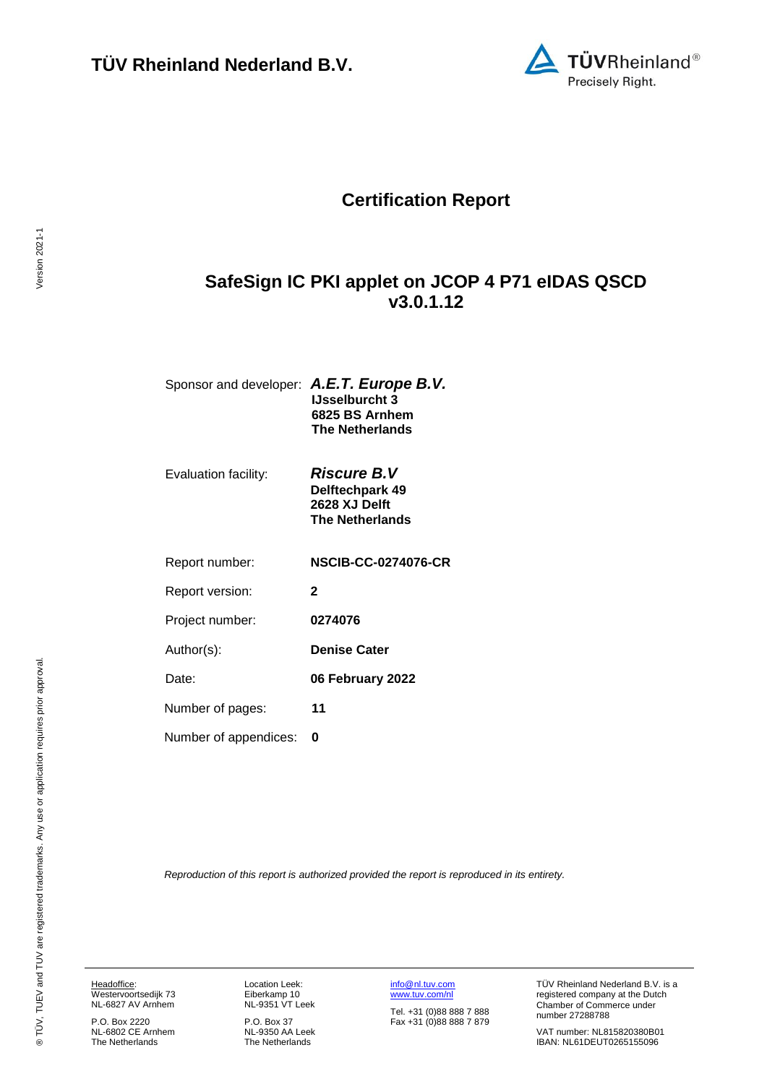

# **Certification Report**

# <span id="page-0-2"></span>**SafeSign IC PKI applet on JCOP 4 P71 eIDAS QSCD v3.0.1.12**

| Sponsor and developer: A.E.T. Europe B.V. |                        |
|-------------------------------------------|------------------------|
|                                           | <b>IJsselburcht 3</b>  |
|                                           | 6825 BS Arnhem         |
|                                           | <b>The Netherlands</b> |
|                                           |                        |

Evaluation facility: *Riscure B.V* 

<span id="page-0-3"></span><span id="page-0-0"></span>**Delftechpark 49 2628 XJ Delft The Netherlands**

Report number: **NSCIB-CC-0274076-CR**

Report version: **2**

Project number: **[0274076](#page-0-0)**

Author(s): **Denise Cater** 

<span id="page-0-1"></span>Date: **06 February 2022**

Number of pages: **11**

Number of appendices: **0**

*Reproduction of this report is authorized provided the report is reproduced in its entirety.*

Headoffice: Westervoortsedijk 73 NL-6827 AV Arnhem

P.O. Box 2220 NL-6802 CE Arnhem The Netherlands

Location Leek: Eiberkamp 10 NL-9351 VT Leek

P.O. Box 37 NL-9350 AA Leek The Netherlands

[info@nl.tuv.com](mailto:info@nl.tuv.com) [www.tuv.com/nl](http://www.tuv.com/nl)

Tel. +31 (0)88 888 7 888 Fax +31 (0)88 888 7 879 TÜV Rheinland Nederland B.V. is a registered company at the Dutch Chamber of Commerce under number 27288788

VAT number: NL815820380B01 IBAN: NL61DEUT0265155096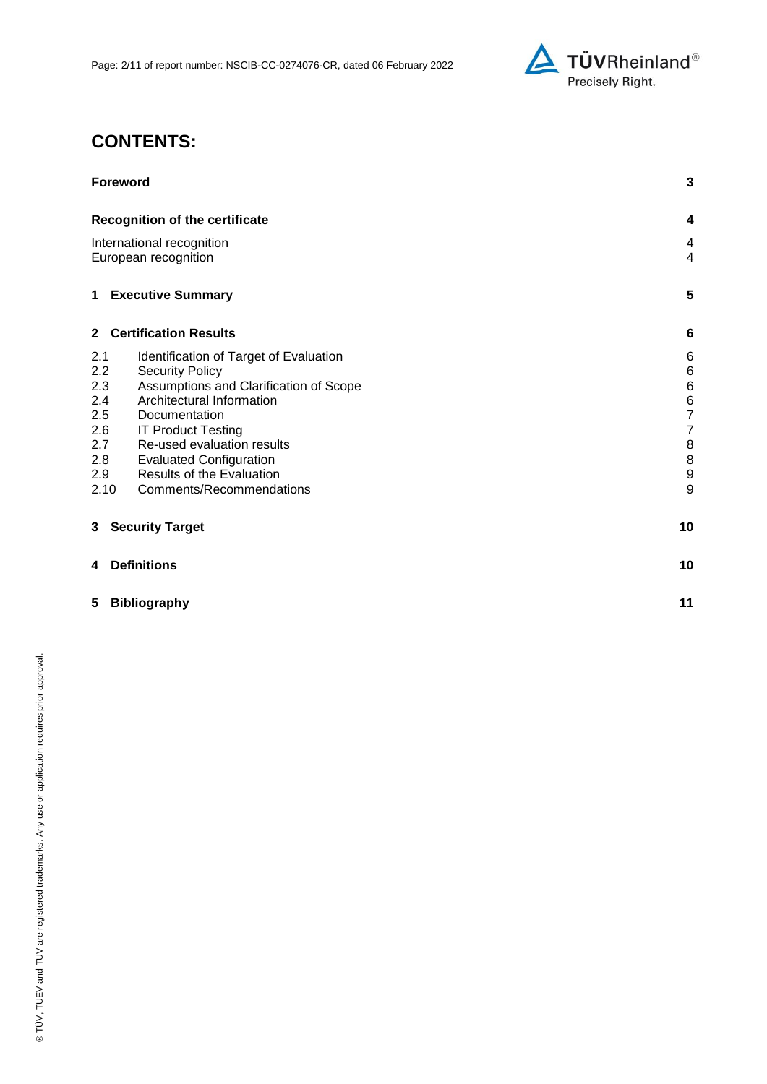

# **CONTENTS:**

| <b>Foreword</b>                                                                                                                                                                                                                                                                                                                                                                       |                                                                                                                              |
|---------------------------------------------------------------------------------------------------------------------------------------------------------------------------------------------------------------------------------------------------------------------------------------------------------------------------------------------------------------------------------------|------------------------------------------------------------------------------------------------------------------------------|
| <b>Recognition of the certificate</b>                                                                                                                                                                                                                                                                                                                                                 | 4                                                                                                                            |
| International recognition<br>European recognition                                                                                                                                                                                                                                                                                                                                     | 4<br>4                                                                                                                       |
| <b>Executive Summary</b><br>1                                                                                                                                                                                                                                                                                                                                                         | 5                                                                                                                            |
| 2 Certification Results                                                                                                                                                                                                                                                                                                                                                               | $6\phantom{1}6$                                                                                                              |
| 2.1<br>Identification of Target of Evaluation<br>2.2<br><b>Security Policy</b><br>2.3<br>Assumptions and Clarification of Scope<br>2.4<br>Architectural Information<br>2.5<br>Documentation<br>2.6<br><b>IT Product Testing</b><br>2.7<br>Re-used evaluation results<br>2.8<br><b>Evaluated Configuration</b><br>Results of the Evaluation<br>2.9<br>2.10<br>Comments/Recommendations | 6<br>$\,6$<br>$\,$ 6 $\,$<br>$\,6$<br>$\overline{7}$<br>$\overline{\mathbf{7}}$<br>$\, 8$<br>$\, 8$<br>$\boldsymbol{9}$<br>9 |
| 3 Security Target                                                                                                                                                                                                                                                                                                                                                                     | 10                                                                                                                           |
| <b>Definitions</b><br>4                                                                                                                                                                                                                                                                                                                                                               | 10                                                                                                                           |
| 5<br><b>Bibliography</b>                                                                                                                                                                                                                                                                                                                                                              | 11                                                                                                                           |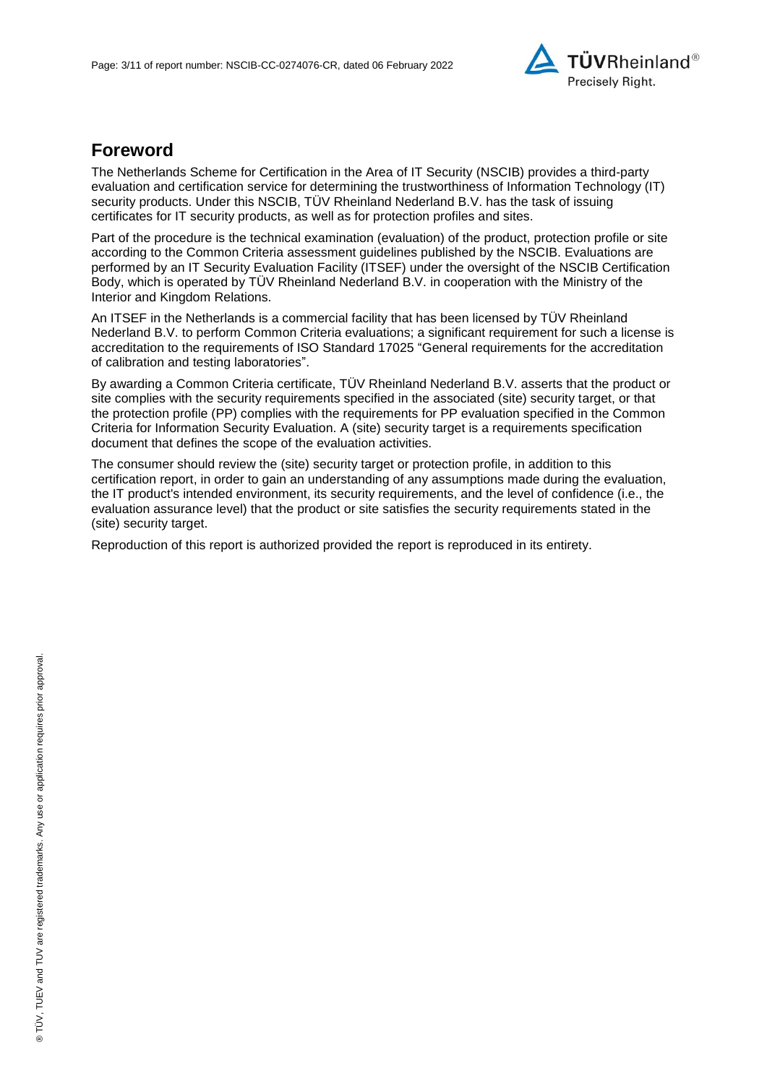

# **Foreword**

The Netherlands Scheme for Certification in the Area of IT Security (NSCIB) provides a third-party evaluation and certification service for determining the trustworthiness of Information Technology (IT) security products. Under this NSCIB, TUV Rheinland Nederland B.V. has the task of issuing certificates for IT security products, as well as for protection profiles and sites.

Part of the procedure is the technical examination (evaluation) of the product, protection profile or site according to the Common Criteria assessment guidelines published by the NSCIB. Evaluations are performed by an IT Security Evaluation Facility (ITSEF) under the oversight of the NSCIB Certification Body, which is operated by TÜV Rheinland Nederland B.V. in cooperation with the Ministry of the Interior and Kingdom Relations.

An ITSEF in the Netherlands is a commercial facility that has been licensed by TÜV Rheinland Nederland B.V. to perform Common Criteria evaluations; a significant requirement for such a license is accreditation to the requirements of ISO Standard 17025 "General requirements for the accreditation of calibration and testing laboratories".

By awarding a Common Criteria certificate, TÜV Rheinland Nederland B.V. asserts that the product or site complies with the security requirements specified in the associated (site) security target, or that the protection profile (PP) complies with the requirements for PP evaluation specified in the Common Criteria for Information Security Evaluation. A (site) security target is a requirements specification document that defines the scope of the evaluation activities.

The consumer should review the (site) security target or protection profile, in addition to this certification report, in order to gain an understanding of any assumptions made during the evaluation, the IT product's intended environment, its security requirements, and the level of confidence (i.e., the evaluation assurance level) that the product or site satisfies the security requirements stated in the (site) security target.

Reproduction of this report is authorized provided the report is reproduced in its entirety.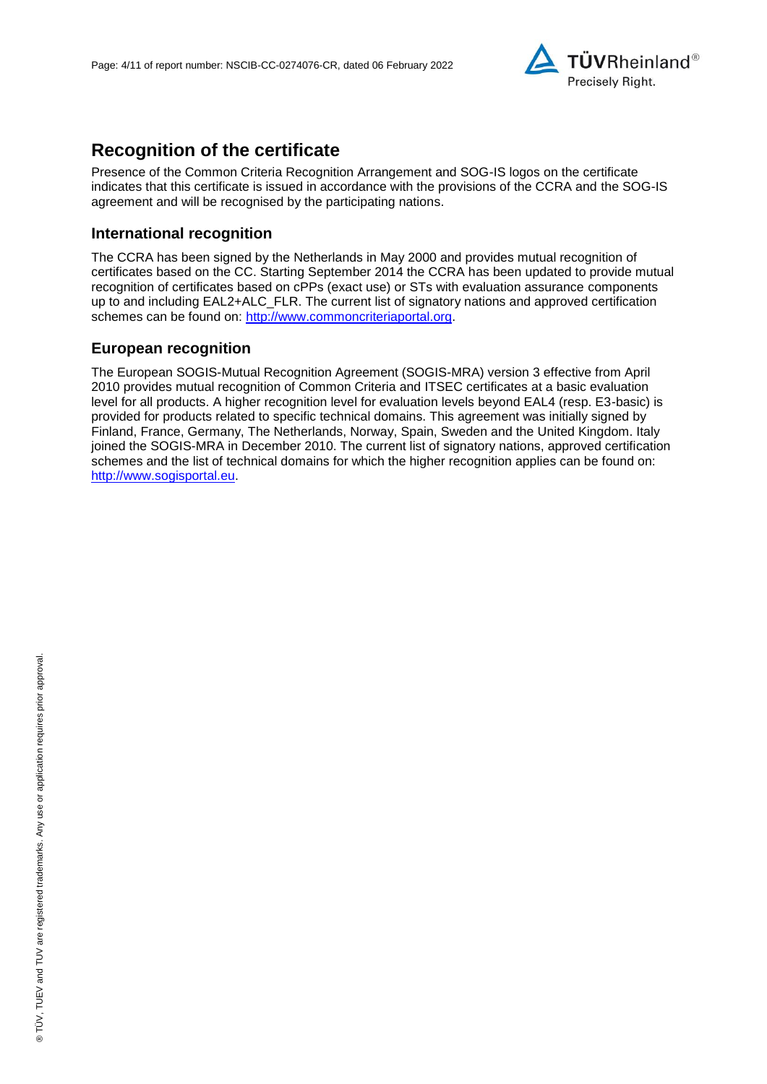

# **Recognition of the certificate**

Presence of the Common Criteria Recognition Arrangement and SOG-IS logos on the certificate indicates that this certificate is issued in accordance with the provisions of the CCRA and the SOG-IS agreement and will be recognised by the participating nations.

#### **International recognition**

The CCRA has been signed by the Netherlands in May 2000 and provides mutual recognition of certificates based on the CC. Starting September 2014 the CCRA has been updated to provide mutual recognition of certificates based on cPPs (exact use) or STs with evaluation assurance components up to and including EAL2+ALC\_FLR. The current list of signatory nations and approved certification schemes can be found on: [http://www.commoncriteriaportal.org.](http://www.commoncriteriaportal.org/)

## **European recognition**

The European SOGIS-Mutual Recognition Agreement (SOGIS-MRA) version 3 effective from April 2010 provides mutual recognition of Common Criteria and ITSEC certificates at a basic evaluation level for all products. A higher recognition level for evaluation levels beyond EAL4 (resp. E3-basic) is provided for products related to specific technical domains. This agreement was initially signed by Finland, France, Germany, The Netherlands, Norway, Spain, Sweden and the United Kingdom. Italy joined the SOGIS-MRA in December 2010. The current list of signatory nations, approved certification schemes and the list of technical domains for which the higher recognition applies can be found on: [http://www.sogisportal.eu.](http://www.sogisportal.eu/)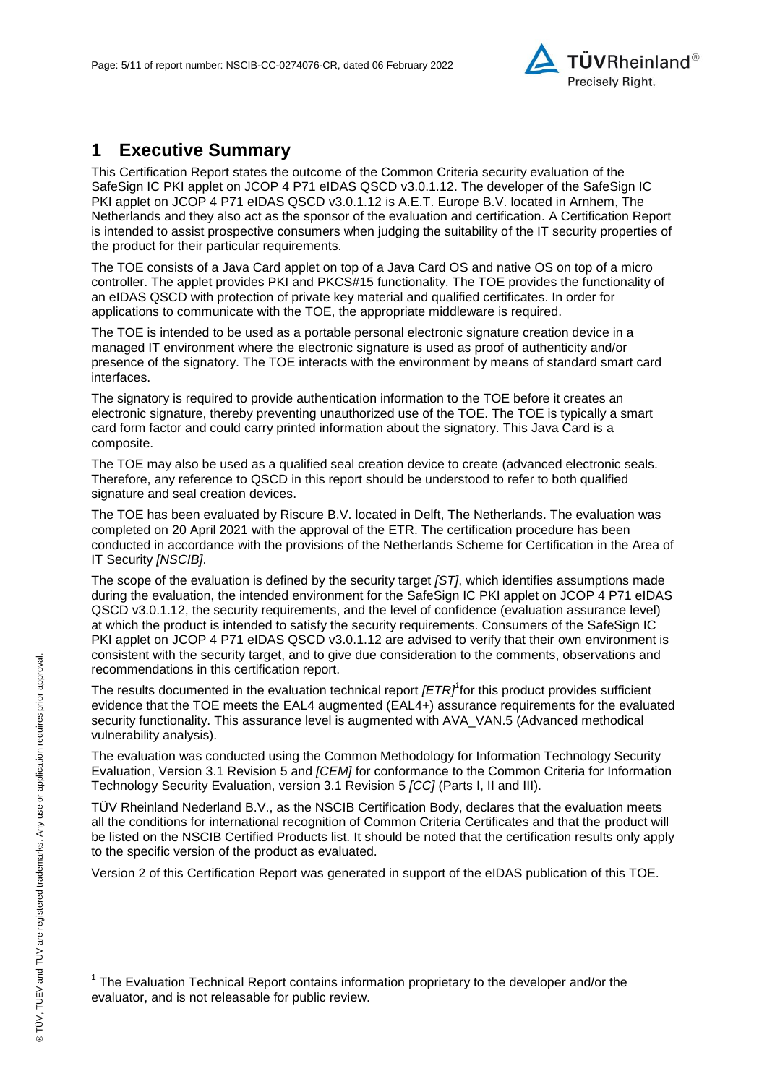<span id="page-4-2"></span>

# **1 Executive Summary**

This Certification Report states the outcome of the Common Criteria security evaluation of the [SafeSign IC PKI applet on JCOP 4 P71 eIDAS QSCD v3.0.1.12.](#page-0-2) The developer of the [SafeSign IC](#page-0-2)  [PKI applet on JCOP 4 P71 eIDAS QSCD v3.0.1.12](#page-0-2) is [A.E.T. Europe B.V.](#page-0-3) located in Arnhem, The Netherlands and they also act as the sponsor of the evaluation and certification. A Certification Report is intended to assist prospective consumers when judging the suitability of the IT security properties of the product for their particular requirements.

The TOE consists of a Java Card applet on top of a Java Card OS and native OS on top of a micro controller. The applet provides PKI and PKCS#15 functionality. The TOE provides the functionality of an eIDAS QSCD with protection of private key material and qualified certificates. In order for applications to communicate with the TOE, the appropriate middleware is required.

The TOE is intended to be used as a portable personal electronic signature creation device in a managed IT environment where the electronic signature is used as proof of authenticity and/or presence of the signatory. The TOE interacts with the environment by means of standard smart card interfaces.

The signatory is required to provide authentication information to the TOE before it creates an electronic signature, thereby preventing unauthorized use of the TOE. The TOE is typically a smart card form factor and could carry printed information about the signatory. This Java Card is a composite.

The TOE may also be used as a qualified seal creation device to create (advanced electronic seals. Therefore, any reference to QSCD in this report should be understood to refer to both qualified signature and seal creation devices.

The TOE has been evaluated by Riscure B.V. located in Delft, The Netherlands. The evaluation was completed on 20 April 2021 with the approval of the ETR. The certification procedure has been conducted in accordance with the provisions of the Netherlands Scheme for Certification in the Area of IT Security *[NSCIB]*.

The scope of the evaluation is defined by the security target *[ST]*, which identifies assumptions made during the evaluation, the intended environment for the [SafeSign IC PKI applet on JCOP 4 P71 eIDAS](#page-0-2)  [QSCD v3.0.1.12,](#page-0-2) the security requirements, and the level of confidence (evaluation assurance level) at which the product is intended to satisfy the security requirements. Consumers of the [SafeSign IC](#page-0-2)  [PKI applet on JCOP 4 P71 eIDAS QSCD v3.0.1.12](#page-0-2) are advised to verify that their own environment is consistent with the security target, and to give due consideration to the comments, observations and recommendations in this certification report.

<span id="page-4-0"></span>The results documented in the evaluation technical report *[ETR]<sup>1</sup>* for this product provides sufficient evidence that the TOE meets the EAL4 augmented (EA[L4+](#page-4-0)) assurance requirements for the evaluated security functionality. This assurance level is augmented with AVA\_VAN.5 (Advanced methodical vulnerability analysis).

<span id="page-4-1"></span>The evaluation was conducted using the Common Methodology for Information Technology Security Evaluation, Version 3.1 Revision 5 and *[CEM]* for conformance to the Common Criteria for Information Technology Security Evaluation, version 3.1 Revision [5](#page-4-1) *[CC]* (Parts I, II and III).

TÜV Rheinland Nederland B.V., as the NSCIB Certification Body, declares that the evaluation meets all the conditions for international recognition of Common Criteria Certificates and that the product will be listed on the NSCIB Certified Products list. It should be noted that the certification results only apply to the specific version of the product as evaluated.

Version 2 of this Certification Report was generated in support of the eIDAS publication of this TOE.

l

<sup>&</sup>lt;sup>1</sup> The Evaluation Technical Report contains information proprietary to the developer and/or the evaluator, and is not releasable for public review.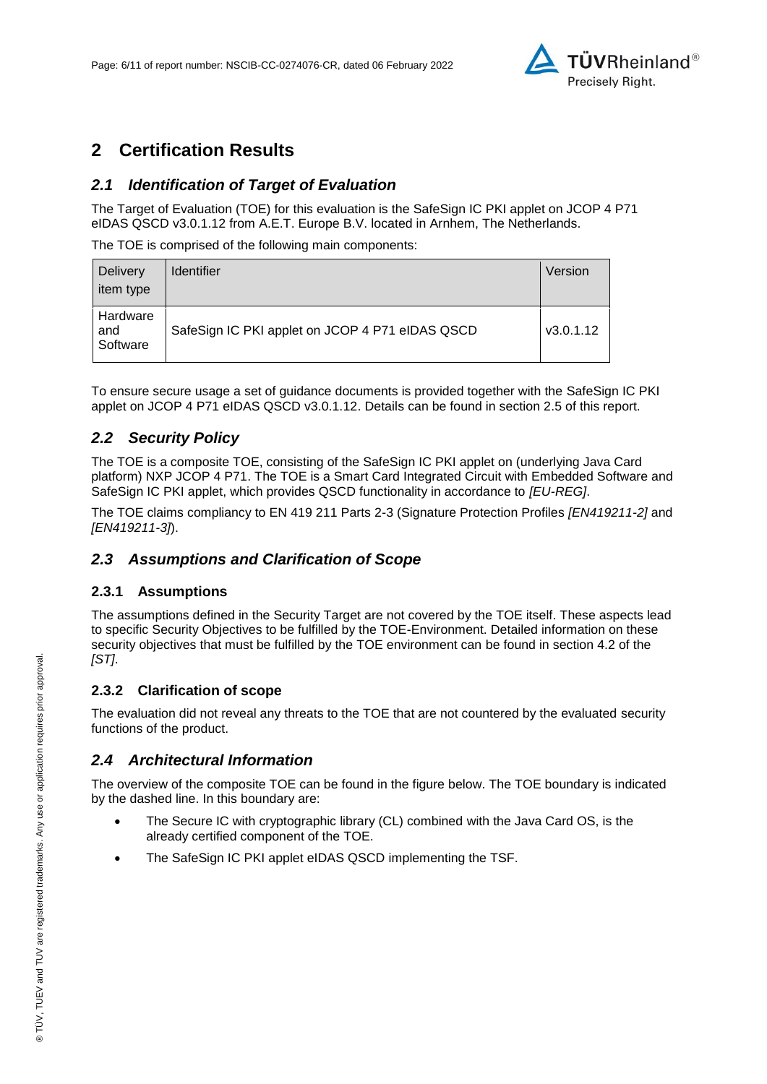

# **2 Certification Results**

### *2.1 Identification of Target of Evaluation*

The Target of Evaluation (TOE) for this evaluation is the [SafeSign IC PKI applet on JCOP 4 P71](#page-0-2)  [eIDAS QSCD v3.0.1.12](#page-0-2) from [A.E.T. Europe B.V.](#page-0-3) located in [Arnhem, The Netherlands.](#page-4-2)

The TOE is comprised of the following main components:

| <b>Delivery</b><br>item type | <b>Identifier</b>                               | Version   |
|------------------------------|-------------------------------------------------|-----------|
| Hardware<br>and<br>Software  | SafeSign IC PKI applet on JCOP 4 P71 eIDAS QSCD | V3.0.1.12 |

To ensure secure usage a set of guidance documents is provided together with the [SafeSign IC PKI](#page-0-2)  [applet on JCOP 4 P71 eIDAS QSCD v3.0.1.12.](#page-0-2) Details can be found in section [2.5](#page-6-0) of this report.

## *2.2 Security Policy*

The TOE is a composite TOE, consisting of the SafeSign IC PKI applet on (underlying Java Card platform) NXP JCOP 4 P71. The TOE is a Smart Card Integrated Circuit with Embedded Software and SafeSign IC PKI applet, which provides QSCD functionality in accordance to *[EU-REG]*.

The TOE claims compliancy to EN 419 211 Parts 2-3 (Signature Protection Profiles *[EN419211-2]* and *[EN419211-3]*).

### *2.3 Assumptions and Clarification of Scope*

#### **2.3.1 Assumptions**

The assumptions defined in the Security Target are not covered by the TOE itself. These aspects lead to specific Security Objectives to be fulfilled by the TOE-Environment. Detailed information on these security objectives that must be fulfilled by the TOE environment can be found in section 4.2 of the *[ST]*.

#### **2.3.2 Clarification of scope**

The evaluation did not reveal any threats to the TOE that are not countered by the evaluated security functions of the product.

#### *2.4 Architectural Information*

The overview of the composite TOE can be found in the figure below. The TOE boundary is indicated by the dashed line. In this boundary are:

- The Secure IC with cryptographic library (CL) combined with the Java Card OS, is the already certified component of the TOE.
- The SafeSign IC PKI applet eIDAS QSCD implementing the TSF.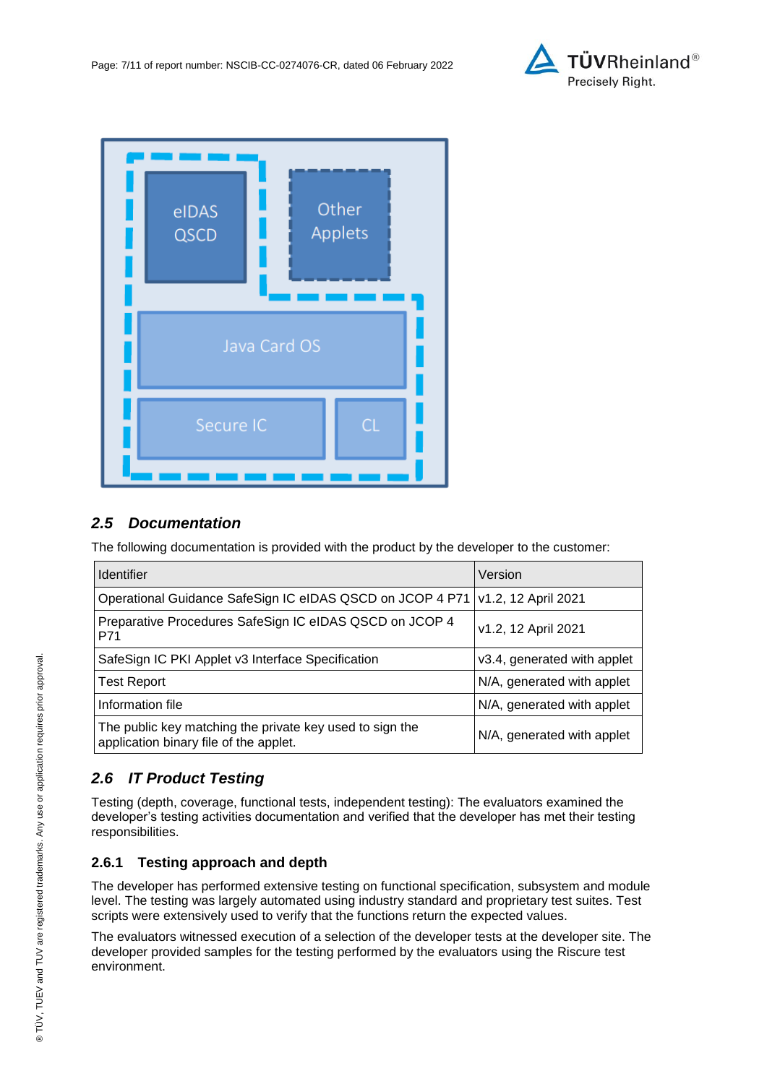



## <span id="page-6-0"></span>*2.5 Documentation*

The following documentation is provided with the product by the developer to the customer:

| <b>Identifier</b>                                                                                  | Version                     |
|----------------------------------------------------------------------------------------------------|-----------------------------|
| Operational Guidance SafeSign IC eIDAS QSCD on JCOP 4 P71                                          | v1.2, 12 April 2021         |
| Preparative Procedures SafeSign IC eIDAS QSCD on JCOP 4<br>P71                                     | v1.2, 12 April 2021         |
| SafeSign IC PKI Applet v3 Interface Specification                                                  | v3.4, generated with applet |
| <b>Test Report</b>                                                                                 | N/A, generated with applet  |
| Information file                                                                                   | N/A, generated with applet  |
| The public key matching the private key used to sign the<br>application binary file of the applet. | N/A, generated with applet  |

## *2.6 IT Product Testing*

Testing (depth, coverage, functional tests, independent testing): The evaluators examined the developer's testing activities documentation and verified that the developer has met their testing responsibilities.

## **2.6.1 Testing approach and depth**

The developer has performed extensive testing on functional specification, subsystem and module level. The testing was largely automated using industry standard and proprietary test suites. Test scripts were extensively used to verify that the functions return the expected values.

The evaluators witnessed execution of a selection of the developer tests at the developer site. The developer provided samples for the testing performed by the evaluators using the Riscure test environment.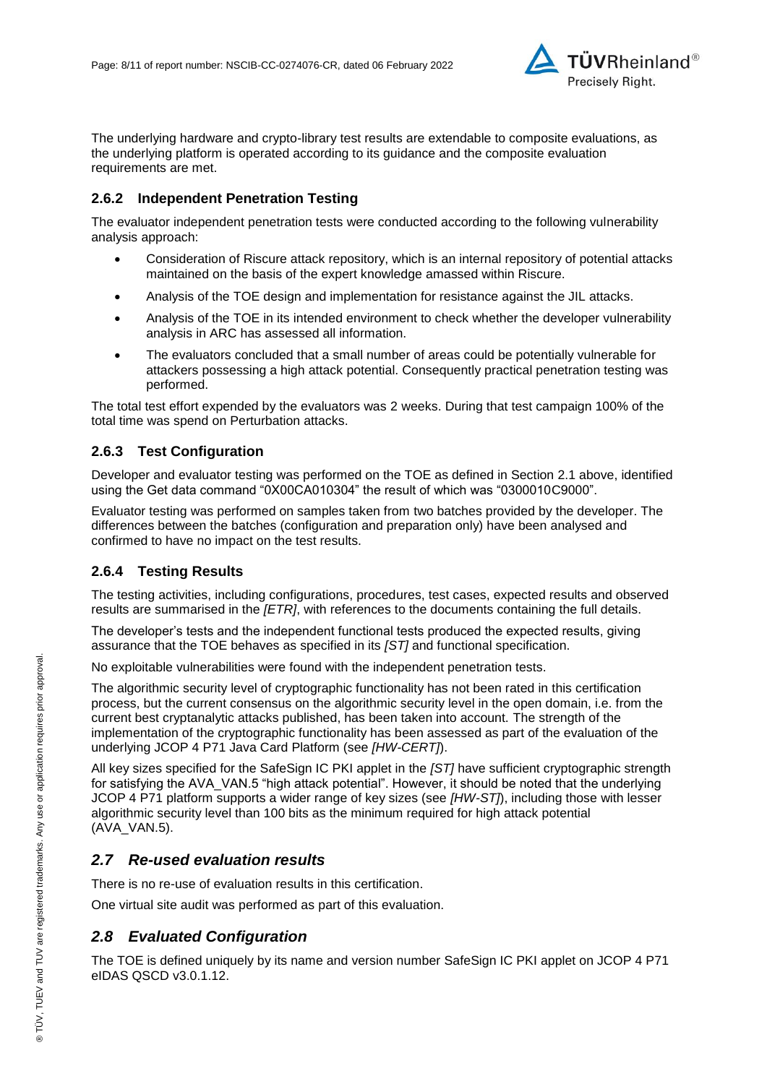

The underlying hardware and crypto-library test results are extendable to composite evaluations, as the underlying platform is operated according to its guidance and the composite evaluation requirements are met.

### **2.6.2 Independent Penetration Testing**

The evaluator independent penetration tests were conducted according to the following vulnerability analysis approach:

- Consideration of Riscure attack repository, which is an internal repository of potential attacks maintained on the basis of the expert knowledge amassed within Riscure.
- Analysis of the TOE design and implementation for resistance against the JIL attacks.
- Analysis of the TOE in its intended environment to check whether the developer vulnerability analysis in ARC has assessed all information.
- The evaluators concluded that a small number of areas could be potentially vulnerable for attackers possessing a high attack potential. Consequently practical penetration testing was performed.

The total test effort expended by the evaluators was 2 weeks. During that test campaign 100% of the total time was spend on Perturbation attacks.

#### **2.6.3 Test Configuration**

Developer and evaluator testing was performed on the TOE as defined in Section 2.1 above, identified using the Get data command "0X00CA010304" the result of which was "0300010C9000".

Evaluator testing was performed on samples taken from two batches provided by the developer. The differences between the batches (configuration and preparation only) have been analysed and confirmed to have no impact on the test results.

### **2.6.4 Testing Results**

The testing activities, including configurations, procedures, test cases, expected results and observed results are summarised in the *[ETR]*, with references to the documents containing the full details.

The developer's tests and the independent functional tests produced the expected results, giving assurance that the TOE behaves as specified in its *[ST]* and functional specification.

No exploitable vulnerabilities were found with the independent penetration tests.

The algorithmic security level of cryptographic functionality has not been rated in this certification process, but the current consensus on the algorithmic security level in the open domain, i.e. from the current best cryptanalytic attacks published, has been taken into account. The strength of the implementation of the cryptographic functionality has been assessed as part of the evaluation of the underlying JCOP 4 P71 Java Card Platform (see *[HW-CERT]*).

All key sizes specified for the SafeSign IC PKI applet in the *[ST]* have sufficient cryptographic strength for satisfying the AVA\_VAN.5 "high attack potential". However, it should be noted that the underlying JCOP 4 P71 platform supports a wider range of key sizes (see *[HW-ST]*), including those with lesser algorithmic security level than 100 bits as the minimum required for high attack potential (AVA\_VAN.5).

### *2.7 Re-used evaluation results*

There is no re-use of evaluation results in this certification.

One virtual site audit was performed as part of this evaluation.

## *2.8 Evaluated Configuration*

The TOE is defined uniquely by its name and version number [SafeSign IC PKI applet on JCOP 4 P71](#page-0-2)  [eIDAS QSCD v3.0.1.12.](#page-0-2)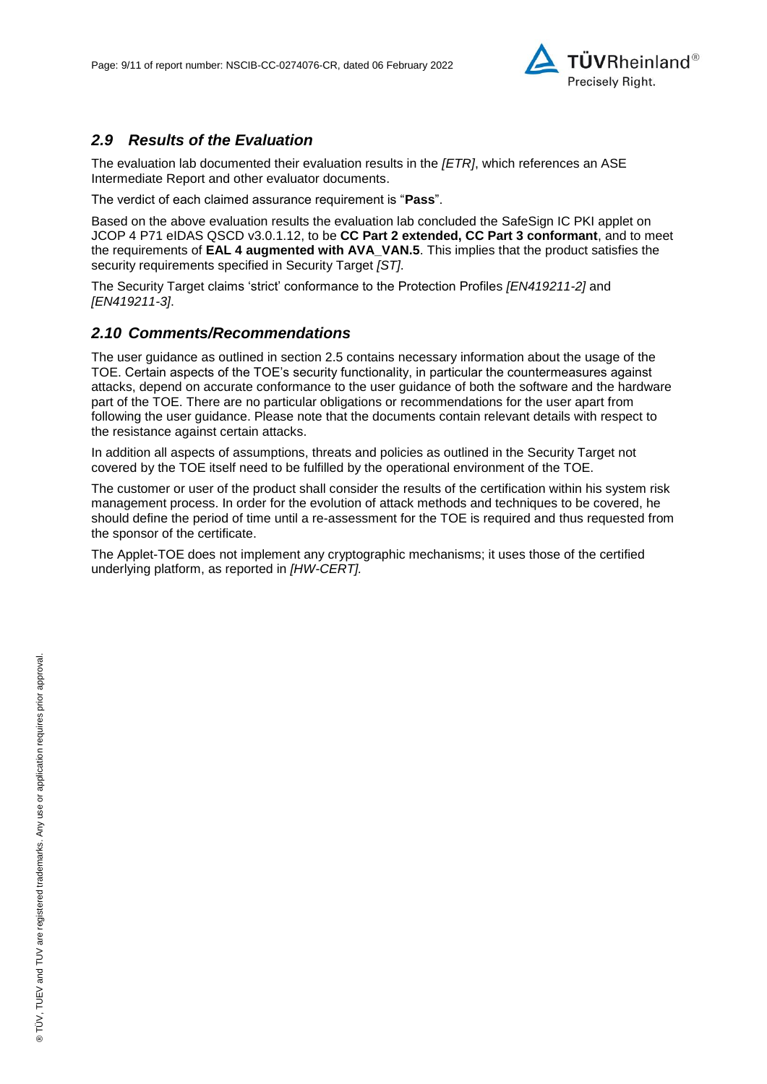

## *2.9 Results of the Evaluation*

The evaluation lab documented their evaluation results in the *[ETR]*, which references an ASE Intermediate Report and other evaluator documents.

The verdict of each claimed assurance requirement is "**Pass**".

Based on the above evaluation results the evaluation lab concluded the [SafeSign IC PKI applet on](#page-0-2)  [JCOP 4 P71 eIDAS QSCD v3.0.1.12,](#page-0-2) to be **CC Part 2 extended, CC Part 3 conformant**, and to meet the requirements of **EAL [4](#page-4-0) augmented with AVA\_VAN.5**. This implies that the product satisfies the security requirements specified in Security Target *[ST]*.

The Security Target claims 'strict' conformance to the Protection Profiles *[EN419211-2]* and *[EN419211-3]*.

#### *2.10 Comments/Recommendations*

The user guidance as outlined in section 2.5 contains necessary information about the usage of the TOE. Certain aspects of the TOE's security functionality, in particular the countermeasures against attacks, depend on accurate conformance to the user guidance of both the software and the hardware part of the TOE. There are no particular obligations or recommendations for the user apart from following the user guidance. Please note that the documents contain relevant details with respect to the resistance against certain attacks.

In addition all aspects of assumptions, threats and policies as outlined in the Security Target not covered by the TOE itself need to be fulfilled by the operational environment of the TOE.

The customer or user of the product shall consider the results of the certification within his system risk management process. In order for the evolution of attack methods and techniques to be covered, he should define the period of time until a re-assessment for the TOE is required and thus requested from the sponsor of the certificate.

The Applet-TOE does not implement any cryptographic mechanisms; it uses those of the certified underlying platform, as reported in *[HW-CERT].*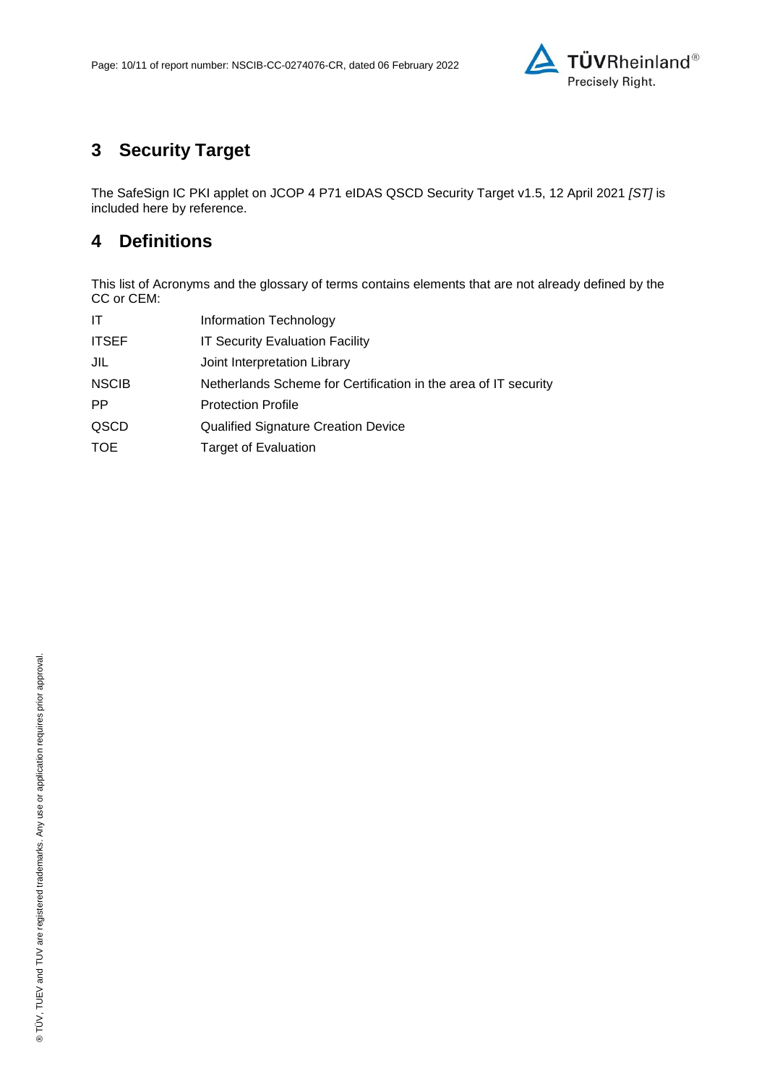

# **3 Security Target**

The SafeSign IC PKI applet on JCOP 4 [P71 eIDAS QSCD Security Target v1.5, 12 April 2021](#page-10-0) *[ST]* is included here by reference.

## **4 Definitions**

This list of Acronyms and the glossary of terms contains elements that are not already defined by the CC or CEM:

| IT           | Information Technology                                          |
|--------------|-----------------------------------------------------------------|
| <b>ITSEF</b> | <b>IT Security Evaluation Facility</b>                          |
| JIL          | Joint Interpretation Library                                    |
| <b>NSCIB</b> | Netherlands Scheme for Certification in the area of IT security |
| <b>PP</b>    | <b>Protection Profile</b>                                       |
| QSCD         | <b>Qualified Signature Creation Device</b>                      |
| <b>TOE</b>   | <b>Target of Evaluation</b>                                     |